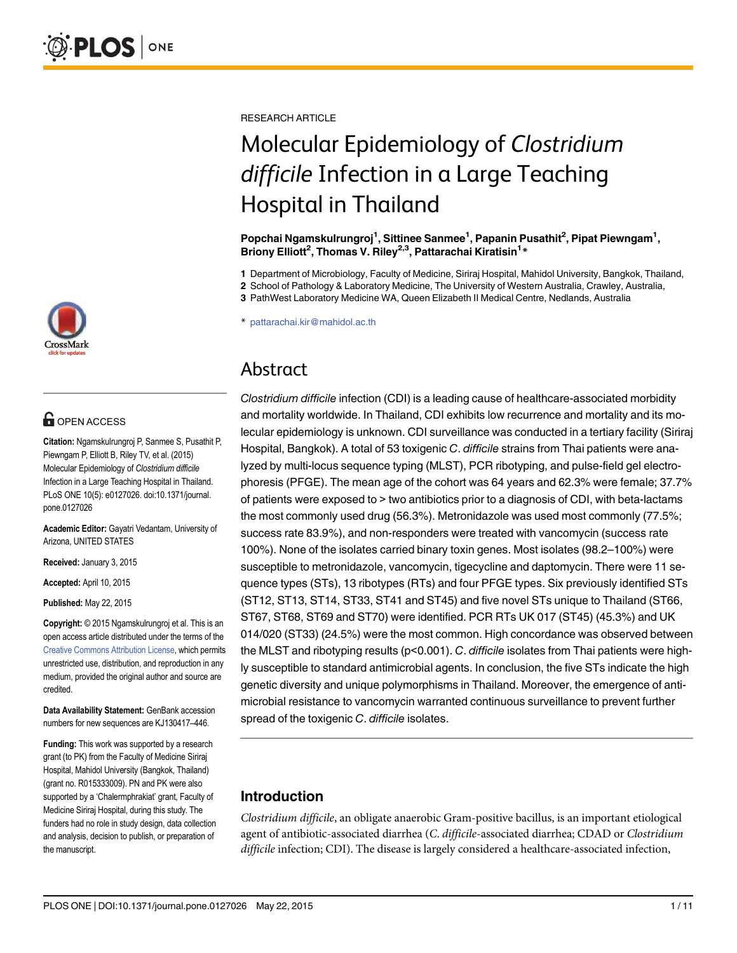

## **OPEN ACCESS**

Citation: Ngamskulrungroj P, Sanmee S, Pusathit P, Piewngam P, Elliott B, Riley TV, et al. (2015) Molecular Epidemiology of Clostridium difficile Infection in a Large Teaching Hospital in Thailand. PLoS ONE 10(5): e0127026. doi:10.1371/journal. pone.0127026

Academic Editor: Gayatri Vedantam, University of Arizona, UNITED STATES

Received: January 3, 2015

Accepted: April 10, 2015

Published: May 22, 2015

Copyright: © 2015 Ngamskulrungroj et al. This is an open access article distributed under the terms of the [Creative Commons Attribution License,](http://creativecommons.org/licenses/by/4.0/) which permits unrestricted use, distribution, and reproduction in any medium, provided the original author and source are credited.

Data Availability Statement: GenBank accession numbers for new sequences are KJ130417–446.

Funding: This work was supported by a research grant (to PK) from the Faculty of Medicine Siriraj Hospital, Mahidol University (Bangkok, Thailand) (grant no. R015333009). PN and PK were also supported by a 'Chalermphrakiat' grant, Faculty of Medicine Siriraj Hospital, during this study. The funders had no role in study design, data collection and analysis, decision to publish, or preparation of the manuscript.

RESEARCH ARTICLE

# Molecular Epidemiology of Clostridium difficile Infection in a Large Teaching Hospital in Thailand

Popchai Ngamskulrungroj<sup>1</sup>, Sittinee Sanmee<sup>1</sup>, Papanin Pusathit<sup>2</sup>, Pipat Piewngam<sup>1</sup>, Briony Elliott<sup>2</sup>, Thomas V. Riley<sup>2,3</sup>, Pattarachai Kiratisin<sup>1</sup>\*

1 Department of Microbiology, Faculty of Medicine, Siriraj Hospital, Mahidol University, Bangkok, Thailand,

2 School of Pathology & Laboratory Medicine, The University of Western Australia, Crawley, Australia,

3 PathWest Laboratory Medicine WA, Queen Elizabeth II Medical Centre, Nedlands, Australia

\* pattarachai.kir@mahidol.ac.th

## Abstract

Clostridium difficile infection (CDI) is a leading cause of healthcare-associated morbidity and mortality worldwide. In Thailand, CDI exhibits low recurrence and mortality and its molecular epidemiology is unknown. CDI surveillance was conducted in a tertiary facility (Siriraj Hospital, Bangkok). A total of 53 toxigenic C. difficile strains from Thai patients were analyzed by multi-locus sequence typing (MLST), PCR ribotyping, and pulse-field gel electrophoresis (PFGE). The mean age of the cohort was 64 years and 62.3% were female; 37.7% of patients were exposed to > two antibiotics prior to a diagnosis of CDI, with beta-lactams the most commonly used drug (56.3%). Metronidazole was used most commonly (77.5%; success rate 83.9%), and non-responders were treated with vancomycin (success rate 100%). None of the isolates carried binary toxin genes. Most isolates (98.2–100%) were susceptible to metronidazole, vancomycin, tigecycline and daptomycin. There were 11 sequence types (STs), 13 ribotypes (RTs) and four PFGE types. Six previously identified STs (ST12, ST13, ST14, ST33, ST41 and ST45) and five novel STs unique to Thailand (ST66, ST67, ST68, ST69 and ST70) were identified. PCR RTs UK 017 (ST45) (45.3%) and UK 014/020 (ST33) (24.5%) were the most common. High concordance was observed between the MLST and ribotyping results ( $p$ <0.001). C. difficile isolates from Thai patients were highly susceptible to standard antimicrobial agents. In conclusion, the five STs indicate the high genetic diversity and unique polymorphisms in Thailand. Moreover, the emergence of antimicrobial resistance to vancomycin warranted continuous surveillance to prevent further spread of the toxigenic C. difficile isolates.

## Introduction

Clostridium difficile, an obligate anaerobic Gram-positive bacillus, is an important etiological agent of antibiotic-associated diarrhea (C. difficile-associated diarrhea; CDAD or Clostridium difficile infection; CDI). The disease is largely considered a healthcare-associated infection,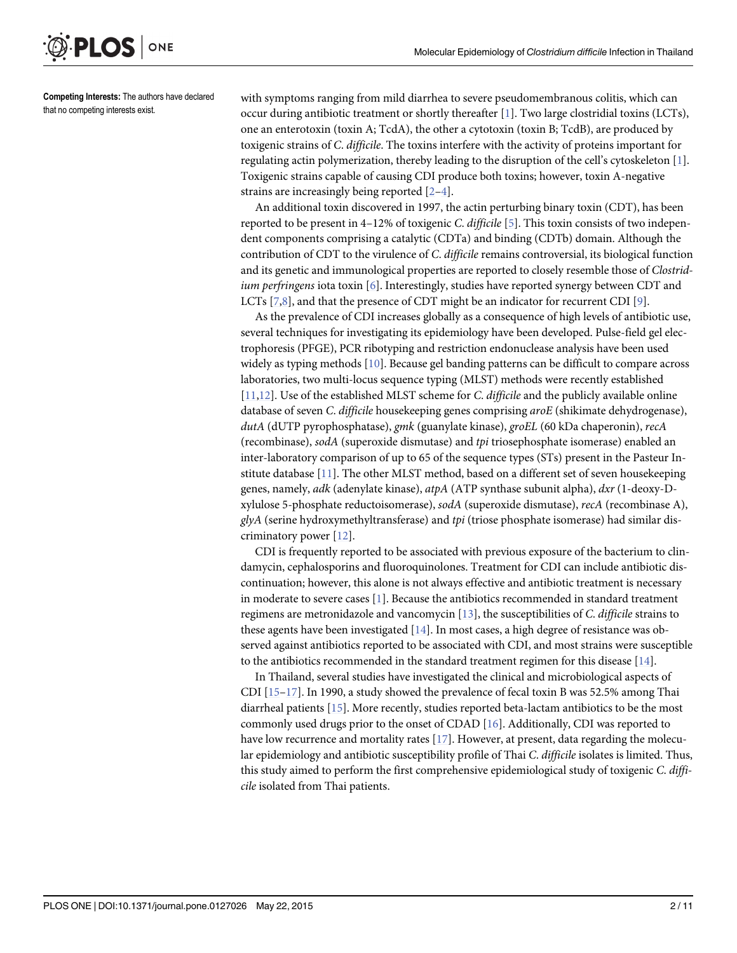Competing Interests: The authors have declared that no competing interests exist.

ONE

<span id="page-1-0"></span>**PLOS**I

with symptoms ranging from mild diarrhea to severe pseudomembranous colitis, which can occur during antibiotic treatment or shortly thereafter [\[1](#page-8-0)]. Two large clostridial toxins (LCTs), one an enterotoxin (toxin A; TcdA), the other a cytotoxin (toxin B; TcdB), are produced by toxigenic strains of C. difficile. The toxins interfere with the activity of proteins important for regulating actin polymerization, thereby leading to the disruption of the cell's cytoskeleton [\[1](#page-8-0)]. Toxigenic strains capable of causing CDI produce both toxins; however, toxin A-negative strains are increasingly being reported  $[2-4]$  $[2-4]$  $[2-4]$  $[2-4]$  $[2-4]$ .

An additional toxin discovered in 1997, the actin perturbing binary toxin (CDT), has been reported to be present in 4–12% of toxigenic C. difficile [\[5](#page-8-0)]. This toxin consists of two independent components comprising a catalytic (CDTa) and binding (CDTb) domain. Although the contribution of CDT to the virulence of C. difficile remains controversial, its biological function and its genetic and immunological properties are reported to closely resemble those of Clostridium perfringens iota toxin [\[6](#page-8-0)]. Interestingly, studies have reported synergy between CDT and LCTs [\[7](#page-8-0)[,8](#page-9-0)], and that the presence of CDT might be an indicator for recurrent CDI [\[9](#page-9-0)].

As the prevalence of CDI increases globally as a consequence of high levels of antibiotic use, several techniques for investigating its epidemiology have been developed. Pulse-field gel electrophoresis (PFGE), PCR ribotyping and restriction endonuclease analysis have been used widely as typing methods  $[10]$ . Because gel banding patterns can be difficult to compare across laboratories, two multi-locus sequence typing (MLST) methods were recently established [\[11,12\]](#page-9-0). Use of the established MLST scheme for C. difficile and the publicly available online database of seven C. difficile housekeeping genes comprising aroE (shikimate dehydrogenase), dutA (dUTP pyrophosphatase), gmk (guanylate kinase), groEL (60 kDa chaperonin), recA (recombinase), sodA (superoxide dismutase) and tpi triosephosphate isomerase) enabled an inter-laboratory comparison of up to 65 of the sequence types (STs) present in the Pasteur Institute database [[11](#page-9-0)]. The other MLST method, based on a different set of seven housekeeping genes, namely, *adk* (adenylate kinase),  $atpA$  (ATP synthase subunit alpha),  $dxr$  (1-deoxy-Dxylulose 5-phosphate reductoisomerase), sodA (superoxide dismutase), recA (recombinase A),  $q\nu A$  (serine hydroxymethyltransferase) and tpi (triose phosphate isomerase) had similar discriminatory power  $[12]$  $[12]$  $[12]$ .

CDI is frequently reported to be associated with previous exposure of the bacterium to clindamycin, cephalosporins and fluoroquinolones. Treatment for CDI can include antibiotic discontinuation; however, this alone is not always effective and antibiotic treatment is necessary in moderate to severe cases  $[1]$  $[1]$  $[1]$ . Because the antibiotics recommended in standard treatment regimens are metronidazole and vancomycin  $[13]$  $[13]$ , the susceptibilities of C. difficile strains to these agents have been investigated [[14](#page-9-0)]. In most cases, a high degree of resistance was observed against antibiotics reported to be associated with CDI, and most strains were susceptible to the antibiotics recommended in the standard treatment regimen for this disease [[14](#page-9-0)].

In Thailand, several studies have investigated the clinical and microbiological aspects of CDI  $[15-17]$  $[15-17]$  $[15-17]$  $[15-17]$  $[15-17]$ . In 1990, a study showed the prevalence of fecal toxin B was 52.5% among Thai diarrheal patients [\[15\]](#page-9-0). More recently, studies reported beta-lactam antibiotics to be the most commonly used drugs prior to the onset of CDAD [[16](#page-9-0)]. Additionally, CDI was reported to have low recurrence and mortality rates  $[17]$  $[17]$  $[17]$ . However, at present, data regarding the molecular epidemiology and antibiotic susceptibility profile of Thai C. difficile isolates is limited. Thus, this study aimed to perform the first comprehensive epidemiological study of toxigenic C. difficile isolated from Thai patients.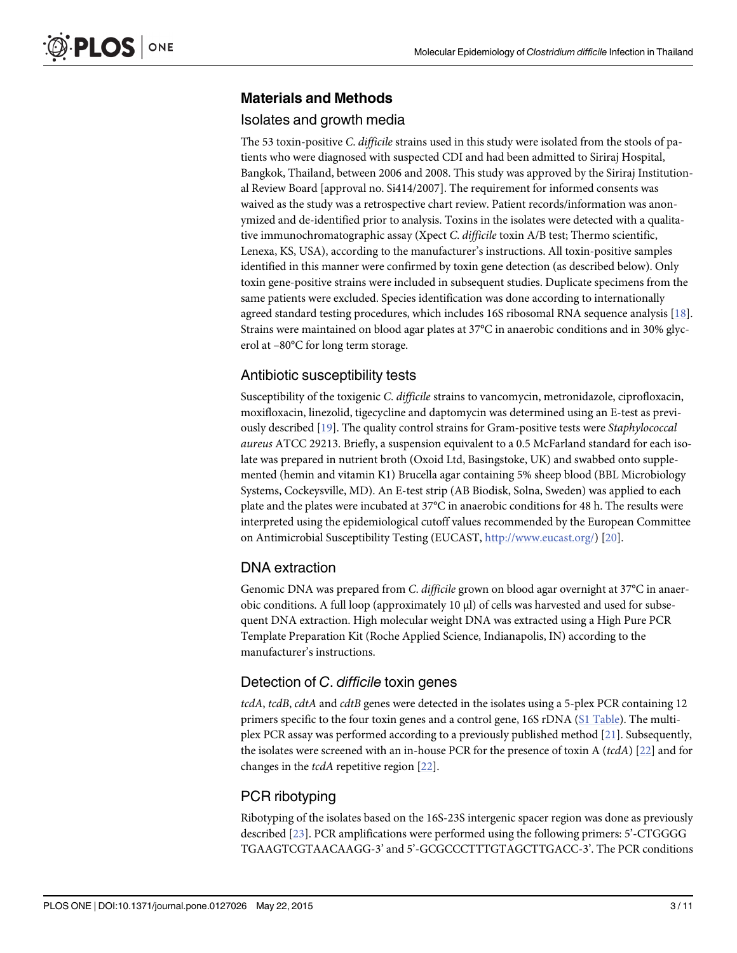## <span id="page-2-0"></span>Materials and Methods

### Isolates and growth media

The 53 toxin-positive C. difficile strains used in this study were isolated from the stools of patients who were diagnosed with suspected CDI and had been admitted to Siriraj Hospital, Bangkok, Thailand, between 2006 and 2008. This study was approved by the Siriraj Institutional Review Board [approval no. Si414/2007]. The requirement for informed consents was waived as the study was a retrospective chart review. Patient records/information was anonymized and de-identified prior to analysis. Toxins in the isolates were detected with a qualitative immunochromatographic assay (Xpect C. difficile toxin A/B test; Thermo scientific, Lenexa, KS, USA), according to the manufacturer's instructions. All toxin-positive samples identified in this manner were confirmed by toxin gene detection (as described below). Only toxin gene-positive strains were included in subsequent studies. Duplicate specimens from the same patients were excluded. Species identification was done according to internationally agreed standard testing procedures, which includes 16S ribosomal RNA sequence analysis [[18](#page-9-0)]. Strains were maintained on blood agar plates at 37°C in anaerobic conditions and in 30% glycerol at –80°C for long term storage.

## Antibiotic susceptibility tests

Susceptibility of the toxigenic C. difficile strains to vancomycin, metronidazole, ciprofloxacin, moxifloxacin, linezolid, tigecycline and daptomycin was determined using an E-test as previously described [[19](#page-9-0)]. The quality control strains for Gram-positive tests were Staphylococcal aureus ATCC 29213. Briefly, a suspension equivalent to a 0.5 McFarland standard for each isolate was prepared in nutrient broth (Oxoid Ltd, Basingstoke, UK) and swabbed onto supplemented (hemin and vitamin K1) Brucella agar containing 5% sheep blood (BBL Microbiology Systems, Cockeysville, MD). An E-test strip (AB Biodisk, Solna, Sweden) was applied to each plate and the plates were incubated at 37°C in anaerobic conditions for 48 h. The results were interpreted using the epidemiological cutoff values recommended by the European Committee on Antimicrobial Susceptibility Testing (EUCAST, [http://www.eucast.org/\)](http://www.eucast.org/) [\[20\]](#page-9-0).

## DNA extraction

Genomic DNA was prepared from C. difficile grown on blood agar overnight at 37°C in anaerobic conditions. A full loop (approximately 10 μl) of cells was harvested and used for subsequent DNA extraction. High molecular weight DNA was extracted using a High Pure PCR Template Preparation Kit (Roche Applied Science, Indianapolis, IN) according to the manufacturer's instructions.

## Detection of C. difficile toxin genes

tcdA, tcdB, cdtA and cdtB genes were detected in the isolates using a 5-plex PCR containing 12 primers specific to the four toxin genes and a control gene, 16S rDNA ([S1 Table\)](#page-8-0). The multiplex PCR assay was performed according to a previously published method [[21](#page-9-0)]. Subsequently, the isolates were screened with an in-house PCR for the presence of toxin A ( $tcdA$ ) [[22](#page-9-0)] and for changes in the tcdA repetitive region [[22](#page-9-0)].

## PCR ribotyping

Ribotyping of the isolates based on the 16S-23S intergenic spacer region was done as previously described [\[23](#page-9-0)]. PCR amplifications were performed using the following primers: 5'-CTGGGG TGAAGTCGTAACAAGG-3' and 5'-GCGCCCTTTGTAGCTTGACC-3'. The PCR conditions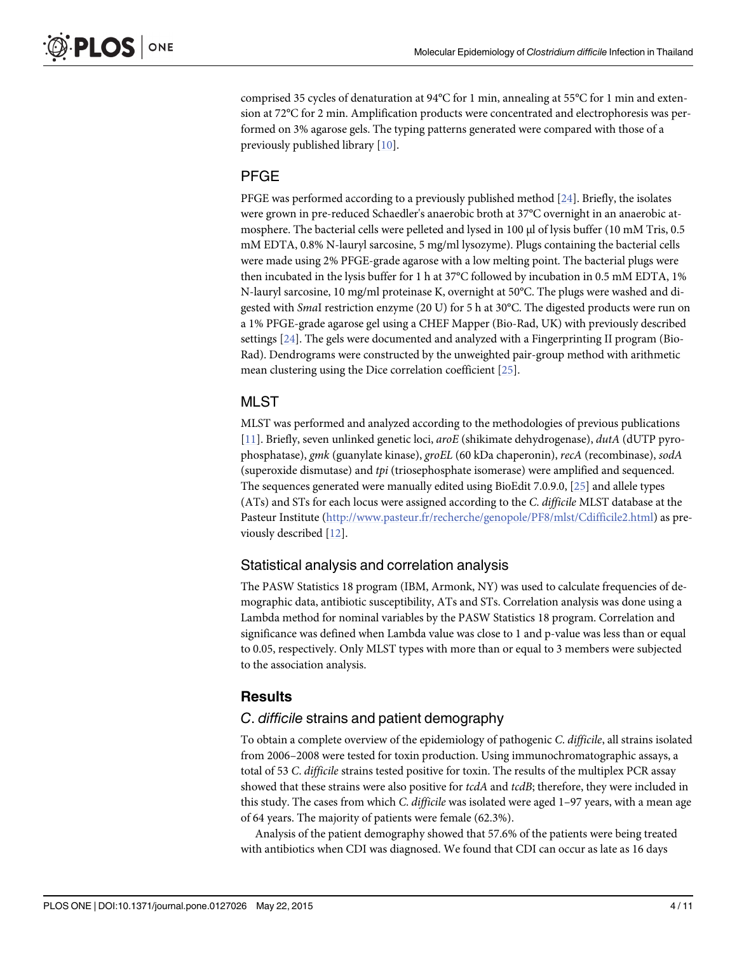<span id="page-3-0"></span>comprised 35 cycles of denaturation at 94°C for 1 min, annealing at 55°C for 1 min and extension at 72°C for 2 min. Amplification products were concentrated and electrophoresis was performed on 3% agarose gels. The typing patterns generated were compared with those of a previously published library [[10](#page-9-0)].

#### PFGE

PFGE was performed according to a previously published method  $[24]$ . Briefly, the isolates were grown in pre-reduced Schaedler's anaerobic broth at 37°C overnight in an anaerobic atmosphere. The bacterial cells were pelleted and lysed in 100 μl of lysis buffer (10 mM Tris, 0.5 mM EDTA, 0.8% N-lauryl sarcosine, 5 mg/ml lysozyme). Plugs containing the bacterial cells were made using 2% PFGE-grade agarose with a low melting point. The bacterial plugs were then incubated in the lysis buffer for 1 h at 37°C followed by incubation in 0.5 mM EDTA, 1% N-lauryl sarcosine, 10 mg/ml proteinase K, overnight at 50°C. The plugs were washed and digested with SmaI restriction enzyme (20 U) for 5 h at 30°C. The digested products were run on a 1% PFGE-grade agarose gel using a CHEF Mapper (Bio-Rad, UK) with previously described settings [[24](#page-9-0)]. The gels were documented and analyzed with a Fingerprinting II program (Bio-Rad). Dendrograms were constructed by the unweighted pair-group method with arithmetic mean clustering using the Dice correlation coefficient [[25\]](#page-9-0).

#### MLST

MLST was performed and analyzed according to the methodologies of previous publications [\[11](#page-9-0)]. Briefly, seven unlinked genetic loci, aroE (shikimate dehydrogenase), dutA (dUTP pyrophosphatase), gmk (guanylate kinase), groEL (60 kDa chaperonin), recA (recombinase), sodA (superoxide dismutase) and tpi (triosephosphate isomerase) were amplified and sequenced. The sequences generated were manually edited using BioEdit 7.0.9.0, [[25\]](#page-9-0) and allele types (ATs) and STs for each locus were assigned according to the C. difficile MLST database at the Pasteur Institute [\(http://www.pasteur.fr/recherche/genopole/PF8/mlst/Cdifficile2.html](http://www.pasteur.fr/recherche/genopole/PF8/mlst/Cdifficile2.html)) as previously described [[12](#page-9-0)].

#### Statistical analysis and correlation analysis

The PASW Statistics 18 program (IBM, Armonk, NY) was used to calculate frequencies of demographic data, antibiotic susceptibility, ATs and STs. Correlation analysis was done using a Lambda method for nominal variables by the PASW Statistics 18 program. Correlation and significance was defined when Lambda value was close to 1 and p-value was less than or equal to 0.05, respectively. Only MLST types with more than or equal to 3 members were subjected to the association analysis.

#### **Results**

#### C. difficile strains and patient demography

To obtain a complete overview of the epidemiology of pathogenic C. difficile, all strains isolated from 2006–2008 were tested for toxin production. Using immunochromatographic assays, a total of 53 C. difficile strains tested positive for toxin. The results of the multiplex PCR assay showed that these strains were also positive for tcdA and tcdB; therefore, they were included in this study. The cases from which C. difficile was isolated were aged 1–97 years, with a mean age of 64 years. The majority of patients were female (62.3%).

Analysis of the patient demography showed that 57.6% of the patients were being treated with antibiotics when CDI was diagnosed. We found that CDI can occur as late as 16 days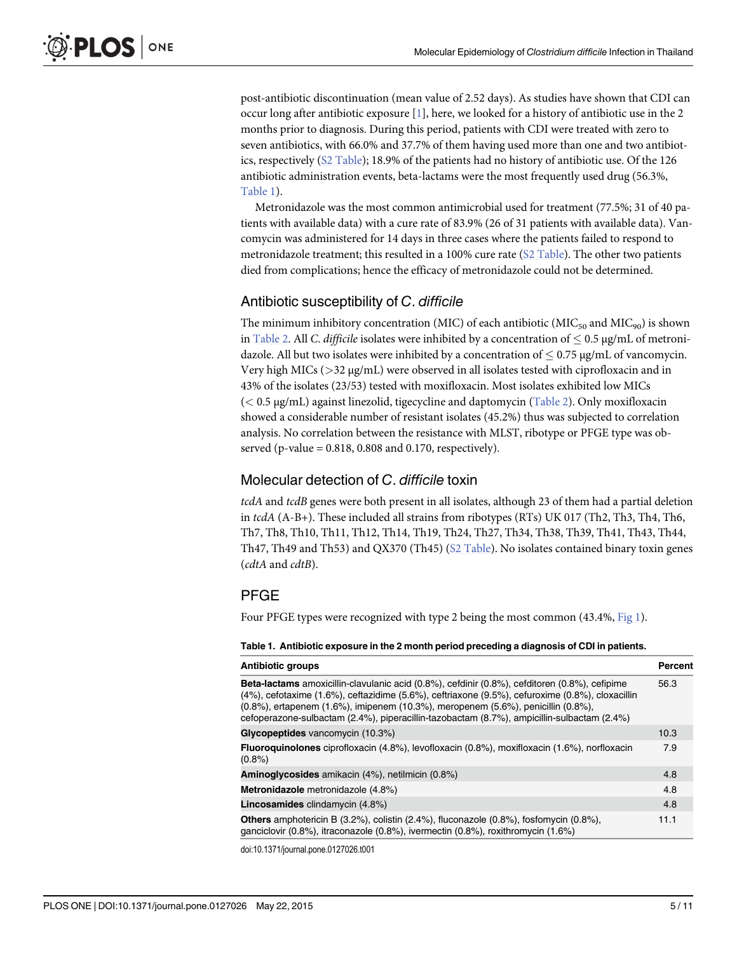<span id="page-4-0"></span>post-antibiotic discontinuation (mean value of 2.52 days). As studies have shown that CDI can occur long after antibiotic exposure  $[1]$  $[1]$ , here, we looked for a history of antibiotic use in the 2 months prior to diagnosis. During this period, patients with CDI were treated with zero to seven antibiotics, with 66.0% and 37.7% of them having used more than one and two antibiotics, respectively ([S2 Table\)](#page-8-0); 18.9% of the patients had no history of antibiotic use. Of the 126 antibiotic administration events, beta-lactams were the most frequently used drug (56.3%, Table 1).

Metronidazole was the most common antimicrobial used for treatment (77.5%; 31 of 40 patients with available data) with a cure rate of 83.9% (26 of 31 patients with available data). Vancomycin was administered for 14 days in three cases where the patients failed to respond to metronidazole treatment; this resulted in a 100% cure rate ([S2 Table\)](#page-8-0). The other two patients died from complications; hence the efficacy of metronidazole could not be determined.

## Antibiotic susceptibility of C. difficile

The minimum inhibitory concentration (MIC) of each antibiotic (MIC<sub>50</sub> and MIC<sub>90</sub>) is shown in [Table 2](#page-5-0). All C. difficile isolates were inhibited by a concentration of  $\leq 0.5$  µg/mL of metronidazole. All but two isolates were inhibited by a concentration of  $\leq$  0.75  $\mu$ g/mL of vancomycin. Very high MICs ( $>$ 32  $\mu$ g/mL) were observed in all isolates tested with ciprofloxacin and in 43% of the isolates (23/53) tested with moxifloxacin. Most isolates exhibited low MICs  $(< 0.5 \,\mu\text{g/mL})$  against linezolid, tigecycline and daptomycin [\(Table 2](#page-5-0)). Only moxifloxacin showed a considerable number of resistant isolates (45.2%) thus was subjected to correlation analysis. No correlation between the resistance with MLST, ribotype or PFGE type was observed (p-value = 0.818, 0.808 and 0.170, respectively).

## Molecular detection of C. difficile toxin

tcdA and tcdB genes were both present in all isolates, although 23 of them had a partial deletion in tcdA (A-B+). These included all strains from ribotypes (RTs) UK 017 (Th2, Th3, Th4, Th6, Th7, Th8, Th10, Th11, Th12, Th14, Th19, Th24, Th27, Th34, Th38, Th39, Th41, Th43, Th44, Th47, Th49 and Th53) and QX370 (Th45) ([S2 Table\)](#page-8-0). No isolates contained binary toxin genes (cdtA and cdtB).

## PFGE

Four PFGE types were recognized with type 2 being the most common (43.4%, [Fig 1](#page-6-0)).

| Table 1. Antibiotic exposure in the 2 month period preceding a diagnosis of CDI in patients.                                                                                                                                                                                                                                                                                              |                |  |  |
|-------------------------------------------------------------------------------------------------------------------------------------------------------------------------------------------------------------------------------------------------------------------------------------------------------------------------------------------------------------------------------------------|----------------|--|--|
| <b>Antibiotic groups</b>                                                                                                                                                                                                                                                                                                                                                                  | <b>Percent</b> |  |  |
| <b>Beta-lactams</b> amoxicillin-clavulanic acid (0.8%), cefdinir (0.8%), cefditoren (0.8%), cefipime<br>(4%), cefotaxime (1.6%), ceftazidime (5.6%), ceftriaxone (9.5%), cefuroxime (0.8%), cloxacillin<br>(0.8%), ertapenem (1.6%), imipenem (10.3%), meropenem (5.6%), penicillin (0.8%),<br>cefoperazone-sulbactam (2.4%), piperacillin-tazobactam (8.7%), ampicillin-sulbactam (2.4%) | 56.3           |  |  |
| Glycopeptides vancomycin (10.3%)                                                                                                                                                                                                                                                                                                                                                          | 10.3           |  |  |
| <b>Fluoroquinolones</b> ciprofloxacin (4.8%), levofloxacin (0.8%), moxifloxacin (1.6%), norfloxacin<br>$(0.8\%)$                                                                                                                                                                                                                                                                          |                |  |  |
| <b>Aminoglycosides</b> amikacin (4%), netilmicin (0.8%)                                                                                                                                                                                                                                                                                                                                   | 4.8            |  |  |
| <b>Metronidazole</b> metronidazole (4.8%)                                                                                                                                                                                                                                                                                                                                                 |                |  |  |
| <b>Lincosamides</b> clindamycin (4.8%)                                                                                                                                                                                                                                                                                                                                                    |                |  |  |
| <b>Others</b> amphotericin B $(3.2\%)$ , colistin $(2.4\%)$ , fluconazole $(0.8\%)$ , fosfomycin $(0.8\%)$ ,<br>ganciclovir (0.8%), itraconazole (0.8%), ivermectin (0.8%), roxithromycin (1.6%)                                                                                                                                                                                          | 11.1           |  |  |

doi:10.1371/journal.pone.0127026.t001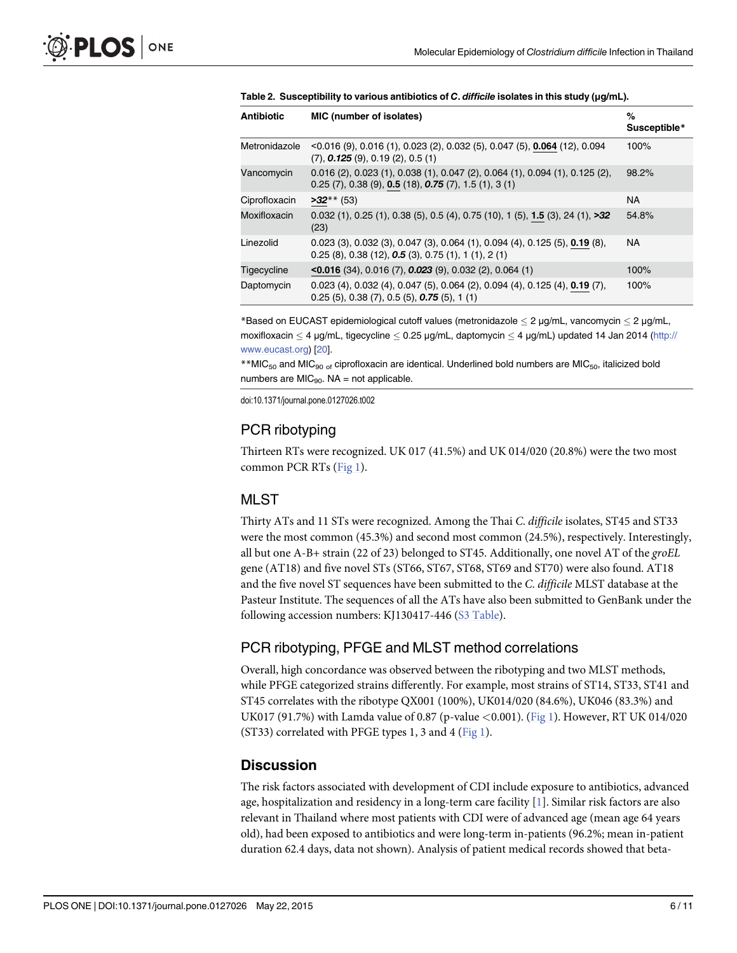| <b>Antibiotic</b> | MIC (number of isolates)                                                                                                                                         | %<br>Susceptible* |
|-------------------|------------------------------------------------------------------------------------------------------------------------------------------------------------------|-------------------|
| Metronidazole     | $\leq$ 0.016 (9), 0.016 (1), 0.023 (2), 0.032 (5), 0.047 (5), <b>0.064</b> (12), 0.094<br>$(7),$ 0.125 $(9),$ 0.19 $(2),$ 0.5 $(1)$                              | 100%              |
| Vancomycin        | $0.016$ (2), $0.023$ (1), $0.038$ (1), $0.047$ (2), $0.064$ (1), $0.094$ (1), $0.125$ (2),<br>$0.25$ (7), $0.38$ (9), $0.5$ (18), $0.75$ (7), $1.5$ (1), $3$ (1) | 98.2%             |
| Ciprofloxacin     | $>32**$ (53)                                                                                                                                                     | <b>NA</b>         |
| Moxifloxacin      | $0.032$ (1), $0.25$ (1), $0.38$ (5), $0.5$ (4), $0.75$ (10), 1 (5), $1.5$ (3), 24 (1), $>32$<br>(23)                                                             | 54.8%             |
| Linezolid         | $0.023$ (3), $0.032$ (3), $0.047$ (3), $0.064$ (1), $0.094$ (4), $0.125$ (5), $0.19$ (8),<br>$0.25$ (8), $0.38$ (12), $0.5$ (3), $0.75$ (1), 1 (1), 2 (1)        | NA                |
| Tigecycline       | $\leq$ 0.016 (34), 0.016 (7), 0.023 (9), 0.032 (2), 0.064 (1)                                                                                                    | 100%              |
| Daptomycin        | $0.023$ (4), $0.032$ (4), $0.047$ (5), $0.064$ (2), $0.094$ (4), $0.125$ (4), $0.19$ (7),<br>$0.25(5)$ , $0.38(7)$ , $0.5(5)$ , $0.75(5)$ , 1(1)                 | 100%              |

<span id="page-5-0"></span>

|  | Table 2. Susceptibility to various antibiotics of C. difficile isolates in this study (µg/mL). |
|--|------------------------------------------------------------------------------------------------|
|--|------------------------------------------------------------------------------------------------|

\*Based on EUCAST epidemiological cutoff values (metronidazole  $<$  2  $\mu$ g/mL, vancomycin  $<$  2  $\mu$ g/mL, moxifloxacin  $\leq 4$  µg/mL, tigecycline  $\leq 0.25$  µg/mL, daptomycin  $\leq 4$  µg/mL) updated 14 Jan 2014 [\(http://](http://www.eucast.org) [www.eucast.org](http://www.eucast.org)) [\[20](#page-9-0)].

\*\* MIC<sub>50</sub> and MIC<sub>90 of</sub> ciprofloxacin are identical. Underlined bold numbers are MIC<sub>50</sub>, italicized bold numbers are  $MIC<sub>90</sub>$ . NA = not applicable.

doi:10.1371/journal.pone.0127026.t002

## PCR ribotyping

Thirteen RTs were recognized. UK 017 (41.5%) and UK 014/020 (20.8%) were the two most common PCR RTs [\(Fig 1\)](#page-6-0).

## MLST

Thirty ATs and 11 STs were recognized. Among the Thai C. difficile isolates, ST45 and ST33 were the most common (45.3%) and second most common (24.5%), respectively. Interestingly, all but one A-B+ strain (22 of 23) belonged to ST45. Additionally, one novel AT of the groEL gene (AT18) and five novel STs (ST66, ST67, ST68, ST69 and ST70) were also found. AT18 and the five novel ST sequences have been submitted to the C. difficile MLST database at the Pasteur Institute. The sequences of all the ATs have also been submitted to GenBank under the following accession numbers: KJ130417-446 ([S3 Table\)](#page-8-0).

## PCR ribotyping, PFGE and MLST method correlations

Overall, high concordance was observed between the ribotyping and two MLST methods, while PFGE categorized strains differently. For example, most strains of ST14, ST33, ST41 and ST45 correlates with the ribotype QX001 (100%), UK014/020 (84.6%), UK046 (83.3%) and UK017 (91.7%) with Lamda value of 0.87 (p-value <0.001). ([Fig 1](#page-6-0)). However, RT UK 014/020 (ST33) correlated with PFGE types 1, 3 and 4 ( $Fig 1$ ).</u>

## **Discussion**

The risk factors associated with development of CDI include exposure to antibiotics, advanced age, hospitalization and residency in a long-term care facility  $[1]$  $[1]$ . Similar risk factors are also relevant in Thailand where most patients with CDI were of advanced age (mean age 64 years old), had been exposed to antibiotics and were long-term in-patients (96.2%; mean in-patient duration 62.4 days, data not shown). Analysis of patient medical records showed that beta-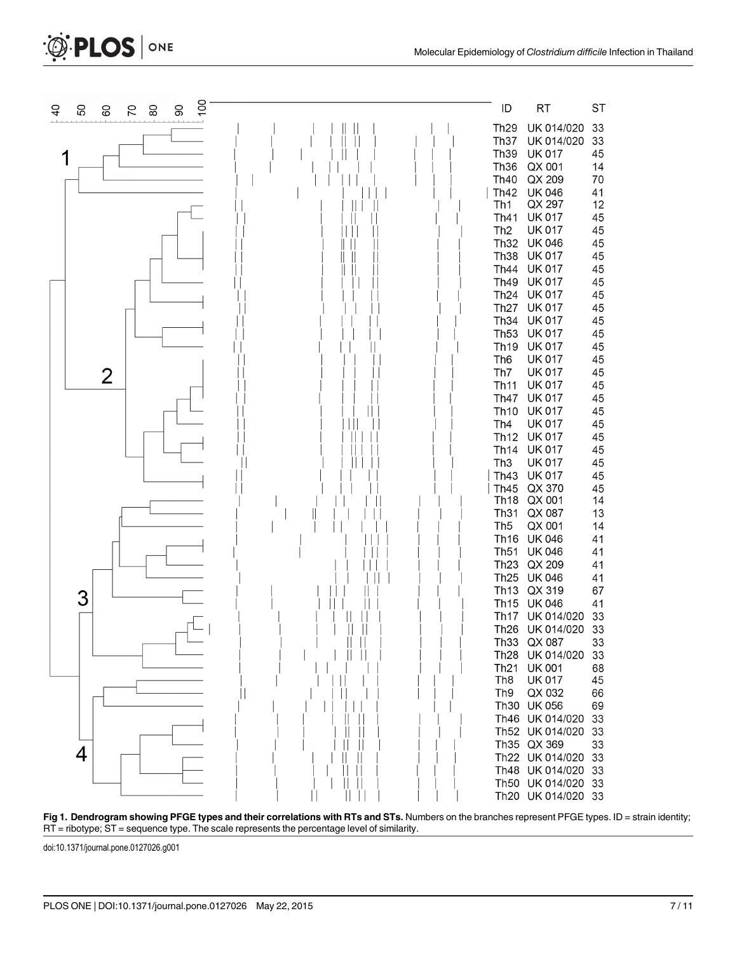



[Fig 1. D](#page-4-0)endrogram showing PFGE types and their correlations with RTs and STs. Numbers on the branches represent PFGE types. ID = strain identity; RT = ribotype; ST = sequence type. The scale represents the percentage level of similarity.

doi:10.1371/journal.pone.0127026.g001

<span id="page-6-0"></span>**D. PLOS** ONE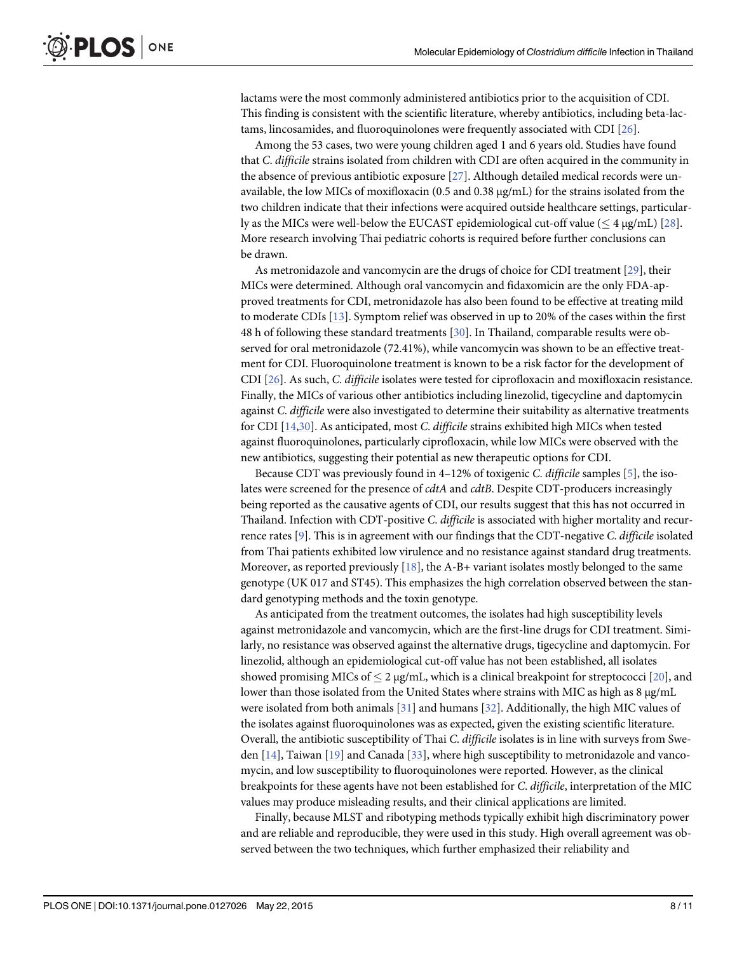<span id="page-7-0"></span>lactams were the most commonly administered antibiotics prior to the acquisition of CDI. This finding is consistent with the scientific literature, whereby antibiotics, including beta-lactams, lincosamides, and fluoroquinolones were frequently associated with CDI [\[26](#page-9-0)].

Among the 53 cases, two were young children aged 1 and 6 years old. Studies have found that C. difficile strains isolated from children with CDI are often acquired in the community in the absence of previous antibiotic exposure [[27](#page-9-0)]. Although detailed medical records were unavailable, the low MICs of moxifloxacin (0.5 and 0.38 μg/mL) for the strains isolated from the two children indicate that their infections were acquired outside healthcare settings, particularly as the MICs were well-below the EUCAST epidemiological cut-off value ( $\leq 4 \mu$ g/mL) [\[28\]](#page-9-0). More research involving Thai pediatric cohorts is required before further conclusions can be drawn.

As metronidazole and vancomycin are the drugs of choice for CDI treatment [\[29](#page-10-0)], their MICs were determined. Although oral vancomycin and fidaxomicin are the only FDA-approved treatments for CDI, metronidazole has also been found to be effective at treating mild to moderate CDIs [[13](#page-9-0)]. Symptom relief was observed in up to 20% of the cases within the first 48 h of following these standard treatments [[30](#page-10-0)]. In Thailand, comparable results were observed for oral metronidazole (72.41%), while vancomycin was shown to be an effective treatment for CDI. Fluoroquinolone treatment is known to be a risk factor for the development of CDI [[26](#page-9-0)]. As such, C. difficile isolates were tested for ciprofloxacin and moxifloxacin resistance. Finally, the MICs of various other antibiotics including linezolid, tigecycline and daptomycin against C. difficile were also investigated to determine their suitability as alternative treatments for CDI [[14](#page-9-0)[,30](#page-10-0)]. As anticipated, most C. difficile strains exhibited high MICs when tested against fluoroquinolones, particularly ciprofloxacin, while low MICs were observed with the new antibiotics, suggesting their potential as new therapeutic options for CDI.

Because CDT was previously found in  $4-12\%$  of toxigenic C. difficile samples [\[5](#page-8-0)], the isolates were screened for the presence of *cdtA* and *cdtB*. Despite CDT-producers increasingly being reported as the causative agents of CDI, our results suggest that this has not occurred in Thailand. Infection with CDT-positive C. difficile is associated with higher mortality and recurrence rates [\[9\]](#page-9-0). This is in agreement with our findings that the CDT-negative C. difficile isolated from Thai patients exhibited low virulence and no resistance against standard drug treatments. Moreover, as reported previously  $[18]$  $[18]$  $[18]$ , the A-B+ variant isolates mostly belonged to the same genotype (UK 017 and ST45). This emphasizes the high correlation observed between the standard genotyping methods and the toxin genotype.

As anticipated from the treatment outcomes, the isolates had high susceptibility levels against metronidazole and vancomycin, which are the first-line drugs for CDI treatment. Similarly, no resistance was observed against the alternative drugs, tigecycline and daptomycin. For linezolid, although an epidemiological cut-off value has not been established, all isolates showed promising MICs of  $\leq 2 \mu g/mL$ , which is a clinical breakpoint for streptococci [[20](#page-9-0)], and lower than those isolated from the United States where strains with MIC as high as 8 μg/mL were isolated from both animals [[31](#page-10-0)] and humans [\[32\]](#page-10-0). Additionally, the high MIC values of the isolates against fluoroquinolones was as expected, given the existing scientific literature. Overall, the antibiotic susceptibility of Thai C. difficile isolates is in line with surveys from Sweden  $[14]$  $[14]$ , Taiwan  $[19]$  and Canada  $[33]$  $[33]$  $[33]$ , where high susceptibility to metronidazole and vancomycin, and low susceptibility to fluoroquinolones were reported. However, as the clinical breakpoints for these agents have not been established for C. difficile, interpretation of the MIC values may produce misleading results, and their clinical applications are limited.

Finally, because MLST and ribotyping methods typically exhibit high discriminatory power and are reliable and reproducible, they were used in this study. High overall agreement was observed between the two techniques, which further emphasized their reliability and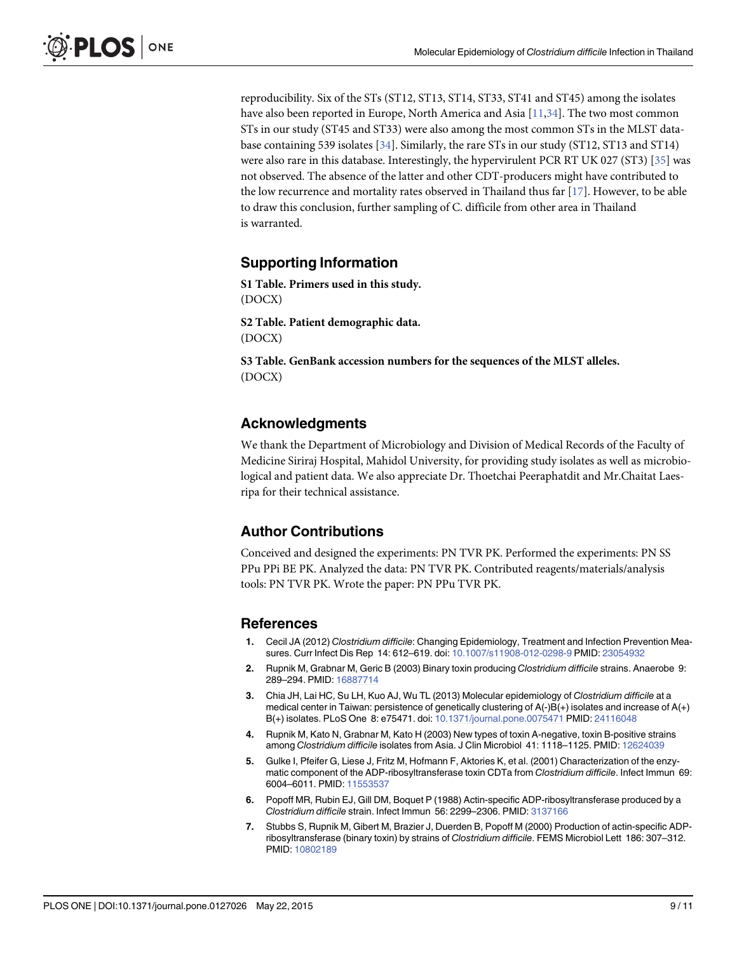<span id="page-8-0"></span>reproducibility. Six of the STs (ST12, ST13, ST14, ST33, ST41 and ST45) among the isolates have also been reported in Europe, North America and Asia [\[11,](#page-9-0)[34\]](#page-10-0). The two most common STs in our study (ST45 and ST33) were also among the most common STs in the MLST database containing 539 isolates [\[34](#page-10-0)]. Similarly, the rare STs in our study (ST12, ST13 and ST14) were also rare in this database. Interestingly, the hypervirulent PCR RT UK 027 (ST3) [[35](#page-10-0)] was not observed. The absence of the latter and other CDT-producers might have contributed to the low recurrence and mortality rates observed in Thailand thus far  $[17]$ . However, to be able to draw this conclusion, further sampling of C. difficile from other area in Thailand is warranted.

#### Supporting Information

[S1 Table](http://www.plosone.org/article/fetchSingleRepresentation.action?uri=info:doi/10.1371/journal.pone.0127026.s001). Primers used in this study. (DOCX)

[S2 Table](http://www.plosone.org/article/fetchSingleRepresentation.action?uri=info:doi/10.1371/journal.pone.0127026.s002). Patient demographic data. (DOCX)

[S3 Table](http://www.plosone.org/article/fetchSingleRepresentation.action?uri=info:doi/10.1371/journal.pone.0127026.s003). GenBank accession numbers for the sequences of the MLST alleles. (DOCX)

#### Acknowledgments

We thank the Department of Microbiology and Division of Medical Records of the Faculty of Medicine Siriraj Hospital, Mahidol University, for providing study isolates as well as microbiological and patient data. We also appreciate Dr. Thoetchai Peeraphatdit and Mr.Chaitat Laesripa for their technical assistance.

#### Author Contributions

Conceived and designed the experiments: PN TVR PK. Performed the experiments: PN SS PPu PPi BE PK. Analyzed the data: PN TVR PK. Contributed reagents/materials/analysis tools: PN TVR PK. Wrote the paper: PN PPu TVR PK.

#### References

- [1.](#page-1-0) Cecil JA (2012) Clostridium difficile: Changing Epidemiology, Treatment and Infection Prevention Measures. Curr Infect Dis Rep 14: 612–619. doi: [10.1007/s11908-012-0298-9](http://dx.doi.org/10.1007/s11908-012-0298-9) PMID: [23054932](http://www.ncbi.nlm.nih.gov/pubmed/23054932)
- [2.](#page-1-0) Rupnik M, Grabnar M, Geric B (2003) Binary toxin producing Clostridium difficile strains. Anaerobe 9: 289–294. PMID: [16887714](http://www.ncbi.nlm.nih.gov/pubmed/16887714)
- 3. Chia JH, Lai HC, Su LH, Kuo AJ, Wu TL (2013) Molecular epidemiology of Clostridium difficile at a medical center in Taiwan: persistence of genetically clustering of A(-)B(+) isolates and increase of A(+) B(+) isolates. PLoS One 8: e75471. doi: [10.1371/journal.pone.0075471](http://dx.doi.org/10.1371/journal.pone.0075471) PMID: [24116048](http://www.ncbi.nlm.nih.gov/pubmed/24116048)
- [4.](#page-1-0) Rupnik M, Kato N, Grabnar M, Kato H (2003) New types of toxin A-negative, toxin B-positive strains among Clostridium difficile isolates from Asia. J Clin Microbiol 41: 1118–1125. PMID: [12624039](http://www.ncbi.nlm.nih.gov/pubmed/12624039)
- [5.](#page-1-0) Gulke I, Pfeifer G, Liese J, Fritz M, Hofmann F, Aktories K, et al. (2001) Characterization of the enzymatic component of the ADP-ribosyltransferase toxin CDTa from Clostridium difficile. Infect Immun 69: 6004–6011. PMID: [11553537](http://www.ncbi.nlm.nih.gov/pubmed/11553537)
- [6.](#page-1-0) Popoff MR, Rubin EJ, Gill DM, Boquet P (1988) Actin-specific ADP-ribosyltransferase produced by a Clostridium difficile strain. Infect Immun 56: 2299–2306. PMID: [3137166](http://www.ncbi.nlm.nih.gov/pubmed/3137166)
- [7.](#page-1-0) Stubbs S, Rupnik M, Gibert M, Brazier J, Duerden B, Popoff M (2000) Production of actin-specific ADPribosyltransferase (binary toxin) by strains of Clostridium difficile. FEMS Microbiol Lett 186: 307–312. PMID: [10802189](http://www.ncbi.nlm.nih.gov/pubmed/10802189)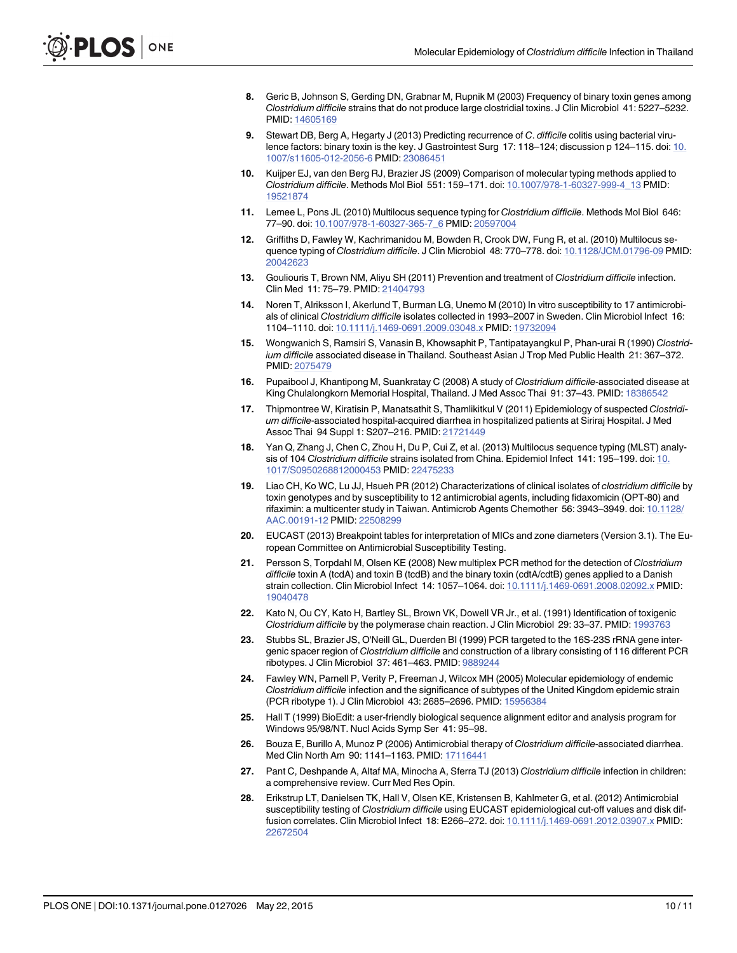- <span id="page-9-0"></span>[8.](#page-1-0) Geric B, Johnson S, Gerding DN, Grabnar M, Rupnik M (2003) Frequency of binary toxin genes among Clostridium difficile strains that do not produce large clostridial toxins. J Clin Microbiol 41: 5227–5232. PMID: [14605169](http://www.ncbi.nlm.nih.gov/pubmed/14605169)
- [9.](#page-1-0) Stewart DB, Berg A, Hegarty J (2013) Predicting recurrence of C. difficile colitis using bacterial virulence factors: binary toxin is the key. J Gastrointest Surg 17: 118–124; discussion p 124–115. doi: [10.](http://dx.doi.org/10.1007/s11605-012-2056-6) [1007/s11605-012-2056-6](http://dx.doi.org/10.1007/s11605-012-2056-6) PMID: [23086451](http://www.ncbi.nlm.nih.gov/pubmed/23086451)
- [10.](#page-1-0) Kuijper EJ, van den Berg RJ, Brazier JS (2009) Comparison of molecular typing methods applied to Clostridium difficile. Methods Mol Biol 551: 159–171. doi: [10.1007/978-1-60327-999-4\\_13](http://dx.doi.org/10.1007/978-1-60327-999-4_13) PMID: [19521874](http://www.ncbi.nlm.nih.gov/pubmed/19521874)
- [11.](#page-1-0) Lemee L, Pons JL (2010) Multilocus sequence typing for Clostridium difficile. Methods Mol Biol 646: 77–90. doi: [10.1007/978-1-60327-365-7\\_6](http://dx.doi.org/10.1007/978-1-60327-365-7_6) PMID: [20597004](http://www.ncbi.nlm.nih.gov/pubmed/20597004)
- [12.](#page-1-0) Griffiths D, Fawley W, Kachrimanidou M, Bowden R, Crook DW, Fung R, et al. (2010) Multilocus sequence typing of Clostridium difficile. J Clin Microbiol 48: 770–778. doi: [10.1128/JCM.01796-09](http://dx.doi.org/10.1128/JCM.01796-09) PMID: [20042623](http://www.ncbi.nlm.nih.gov/pubmed/20042623)
- [13.](#page-1-0) Gouliouris T, Brown NM, Aliyu SH (2011) Prevention and treatment of Clostridium difficile infection. Clin Med 11: 75–79. PMID: [21404793](http://www.ncbi.nlm.nih.gov/pubmed/21404793)
- [14.](#page-1-0) Noren T, Alriksson I, Akerlund T, Burman LG, Unemo M (2010) In vitro susceptibility to 17 antimicrobials of clinical Clostridium difficile isolates collected in 1993–2007 in Sweden. Clin Microbiol Infect 16: 1104–1110. doi: [10.1111/j.1469-0691.2009.03048.x](http://dx.doi.org/10.1111/j.1469-0691.2009.03048.x) PMID: [19732094](http://www.ncbi.nlm.nih.gov/pubmed/19732094)
- [15.](#page-1-0) Wongwanich S, Ramsiri S, Vanasin B, Khowsaphit P, Tantipatayangkul P, Phan-urai R (1990) Clostridium difficile associated disease in Thailand. Southeast Asian J Trop Med Public Health 21: 367–372. PMID: [2075479](http://www.ncbi.nlm.nih.gov/pubmed/2075479)
- [16.](#page-1-0) Pupaibool J, Khantipong M, Suankratay C (2008) A study of Clostridium difficile-associated disease at King Chulalongkorn Memorial Hospital, Thailand. J Med Assoc Thai 91: 37–43. PMID: [18386542](http://www.ncbi.nlm.nih.gov/pubmed/18386542)
- [17.](#page-1-0) Thipmontree W, Kiratisin P, Manatsathit S, Thamlikitkul V (2011) Epidemiology of suspected Clostridium difficile-associated hospital-acquired diarrhea in hospitalized patients at Siriraj Hospital. J Med Assoc Thai 94 Suppl 1: S207–216. PMID: [21721449](http://www.ncbi.nlm.nih.gov/pubmed/21721449)
- [18.](#page-2-0) Yan Q, Zhang J, Chen C, Zhou H, Du P, Cui Z, et al. (2013) Multilocus sequence typing (MLST) analysis of 104 Clostridium difficile strains isolated from China. Epidemiol Infect 141: 195–199. doi: [10.](http://dx.doi.org/10.1017/S0950268812000453) [1017/S0950268812000453](http://dx.doi.org/10.1017/S0950268812000453) PMID: [22475233](http://www.ncbi.nlm.nih.gov/pubmed/22475233)
- [19.](#page-2-0) Liao CH, Ko WC, Lu JJ, Hsueh PR (2012) Characterizations of clinical isolates of clostridium difficile by toxin genotypes and by susceptibility to 12 antimicrobial agents, including fidaxomicin (OPT-80) and rifaximin: a multicenter study in Taiwan. Antimicrob Agents Chemother 56: 3943–3949. doi: [10.1128/](http://dx.doi.org/10.1128/AAC.00191-12) [AAC.00191-12](http://dx.doi.org/10.1128/AAC.00191-12) PMID: [22508299](http://www.ncbi.nlm.nih.gov/pubmed/22508299)
- [20.](#page-2-0) EUCAST (2013) Breakpoint tables for interpretation of MICs and zone diameters (Version 3.1). The European Committee on Antimicrobial Susceptibility Testing.
- [21.](#page-2-0) Persson S, Torpdahl M, Olsen KE (2008) New multiplex PCR method for the detection of Clostridium difficile toxin A (tcdA) and toxin B (tcdB) and the binary toxin (cdtA/cdtB) genes applied to a Danish strain collection. Clin Microbiol Infect 14: 1057–1064. doi: [10.1111/j.1469-0691.2008.02092.x](http://dx.doi.org/10.1111/j.1469-0691.2008.02092.x) PMID: [19040478](http://www.ncbi.nlm.nih.gov/pubmed/19040478)
- [22.](#page-2-0) Kato N, Ou CY, Kato H, Bartley SL, Brown VK, Dowell VR Jr., et al. (1991) Identification of toxigenic Clostridium difficile by the polymerase chain reaction. J Clin Microbiol 29: 33–37. PMID: [1993763](http://www.ncbi.nlm.nih.gov/pubmed/1993763)
- [23.](#page-2-0) Stubbs SL, Brazier JS, O'Neill GL, Duerden BI (1999) PCR targeted to the 16S-23S rRNA gene intergenic spacer region of Clostridium difficile and construction of a library consisting of 116 different PCR ribotypes. J Clin Microbiol 37: 461–463. PMID: [9889244](http://www.ncbi.nlm.nih.gov/pubmed/9889244)
- [24.](#page-3-0) Fawley WN, Parnell P, Verity P, Freeman J, Wilcox MH (2005) Molecular epidemiology of endemic Clostridium difficile infection and the significance of subtypes of the United Kingdom epidemic strain (PCR ribotype 1). J Clin Microbiol 43: 2685–2696. PMID: [15956384](http://www.ncbi.nlm.nih.gov/pubmed/15956384)
- [25.](#page-3-0) Hall T (1999) BioEdit: a user-friendly biological sequence alignment editor and analysis program for Windows 95/98/NT. Nucl Acids Symp Ser 41: 95–98.
- [26.](#page-7-0) Bouza E, Burillo A, Munoz P (2006) Antimicrobial therapy of Clostridium difficile-associated diarrhea. Med Clin North Am 90: 1141-1163. PMID: [17116441](http://www.ncbi.nlm.nih.gov/pubmed/17116441)
- [27.](#page-7-0) Pant C, Deshpande A, Altaf MA, Minocha A, Sferra TJ (2013) Clostridium difficile infection in children: a comprehensive review. Curr Med Res Opin.
- [28.](#page-7-0) Erikstrup LT, Danielsen TK, Hall V, Olsen KE, Kristensen B, Kahlmeter G, et al. (2012) Antimicrobial susceptibility testing of Clostridium difficile using EUCAST epidemiological cut-off values and disk diffusion correlates. Clin Microbiol Infect 18: E266–272. doi: [10.1111/j.1469-0691.2012.03907.x](http://dx.doi.org/10.1111/j.1469-0691.2012.03907.x) PMID: [22672504](http://www.ncbi.nlm.nih.gov/pubmed/22672504)